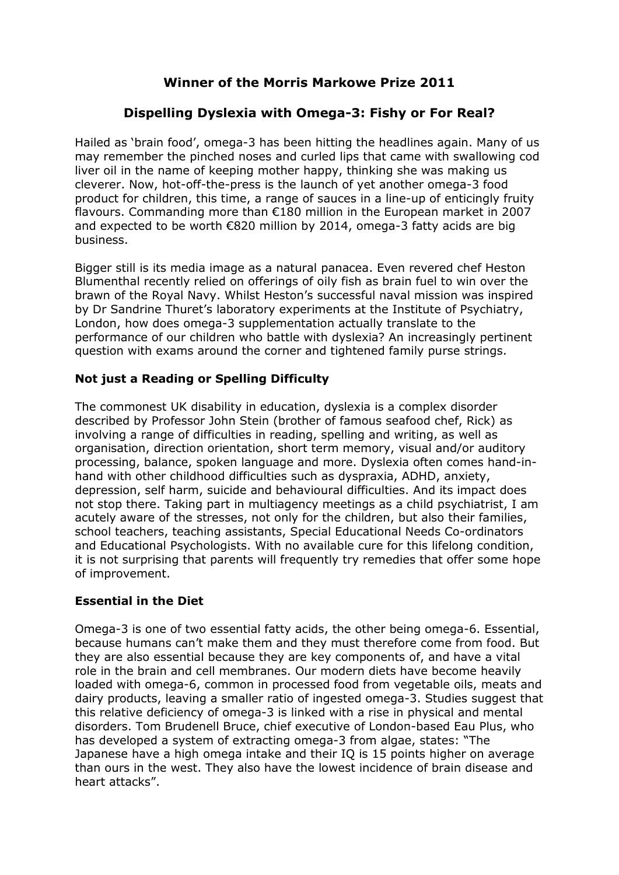# **Winner of the Morris Markowe Prize 2011**

# **Dispelling Dyslexia with Omega-3: Fishy or For Real?**

Hailed as "brain food", omega-3 has been hitting the headlines again. Many of us may remember the pinched noses and curled lips that came with swallowing cod liver oil in the name of keeping mother happy, thinking she was making us cleverer. Now, hot-off-the-press is the launch of yet another omega-3 food product for children, this time, a range of sauces in a line-up of enticingly fruity flavours. Commanding more than €180 million in the European market in 2007 and expected to be worth €820 million by 2014, omega-3 fatty acids are big business.

Bigger still is its media image as a natural panacea. Even revered chef Heston Blumenthal recently relied on offerings of oily fish as brain fuel to win over the brawn of the Royal Navy. Whilst Heston"s successful naval mission was inspired by Dr Sandrine Thuret"s laboratory experiments at the Institute of Psychiatry, London, how does omega-3 supplementation actually translate to the performance of our children who battle with dyslexia? An increasingly pertinent question with exams around the corner and tightened family purse strings.

### **Not just a Reading or Spelling Difficulty**

The commonest UK disability in education, dyslexia is a complex disorder described by Professor John Stein (brother of famous seafood chef, Rick) as involving a range of difficulties in reading, spelling and writing, as well as organisation, direction orientation, short term memory, visual and/or auditory processing, balance, spoken language and more. Dyslexia often comes hand-inhand with other childhood difficulties such as dyspraxia, ADHD, anxiety, depression, self harm, suicide and behavioural difficulties. And its impact does not stop there. Taking part in multiagency meetings as a child psychiatrist, I am acutely aware of the stresses, not only for the children, but also their families, school teachers, teaching assistants, Special Educational Needs Co-ordinators and Educational Psychologists. With no available cure for this lifelong condition, it is not surprising that parents will frequently try remedies that offer some hope of improvement.

### **Essential in the Diet**

Omega-3 is one of two essential fatty acids, the other being omega-6. Essential, because humans can"t make them and they must therefore come from food. But they are also essential because they are key components of, and have a vital role in the brain and cell membranes. Our modern diets have become heavily loaded with omega-6, common in processed food from vegetable oils, meats and dairy products, leaving a smaller ratio of ingested omega-3. Studies suggest that this relative deficiency of omega-3 is linked with a rise in physical and mental disorders. Tom Brudenell Bruce, chief executive of London-based Eau Plus, who has developed a system of extracting omega-3 from algae, states: "The Japanese have a high omega intake and their IQ is 15 points higher on average than ours in the west. They also have the lowest incidence of brain disease and heart attacks".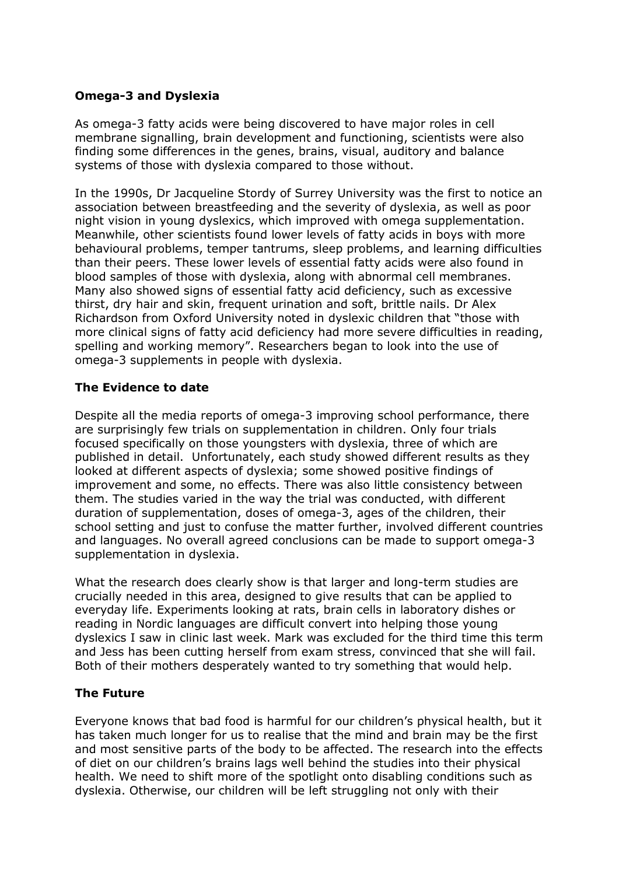### **Omega-3 and Dyslexia**

As omega-3 fatty acids were being discovered to have major roles in cell membrane signalling, brain development and functioning, scientists were also finding some differences in the genes, brains, visual, auditory and balance systems of those with dyslexia compared to those without.

In the 1990s, Dr Jacqueline Stordy of Surrey University was the first to notice an association between breastfeeding and the severity of dyslexia, as well as poor night vision in young dyslexics, which improved with omega supplementation. Meanwhile, other scientists found lower levels of fatty acids in boys with more behavioural problems, temper tantrums, sleep problems, and learning difficulties than their peers. These lower levels of essential fatty acids were also found in blood samples of those with dyslexia, along with abnormal cell membranes. Many also showed signs of essential fatty acid deficiency, such as excessive thirst, dry hair and skin, frequent urination and soft, brittle nails. Dr Alex Richardson from Oxford University noted in dyslexic children that "those with more clinical signs of fatty acid deficiency had more severe difficulties in reading, spelling and working memory". Researchers began to look into the use of omega-3 supplements in people with dyslexia.

#### **The Evidence to date**

Despite all the media reports of omega-3 improving school performance, there are surprisingly few trials on supplementation in children. Only four trials focused specifically on those youngsters with dyslexia, three of which are published in detail. Unfortunately, each study showed different results as they looked at different aspects of dyslexia; some showed positive findings of improvement and some, no effects. There was also little consistency between them. The studies varied in the way the trial was conducted, with different duration of supplementation, doses of omega-3, ages of the children, their school setting and just to confuse the matter further, involved different countries and languages. No overall agreed conclusions can be made to support omega-3 supplementation in dyslexia.

What the research does clearly show is that larger and long-term studies are crucially needed in this area, designed to give results that can be applied to everyday life. Experiments looking at rats, brain cells in laboratory dishes or reading in Nordic languages are difficult convert into helping those young dyslexics I saw in clinic last week. Mark was excluded for the third time this term and Jess has been cutting herself from exam stress, convinced that she will fail. Both of their mothers desperately wanted to try something that would help.

### **The Future**

Everyone knows that bad food is harmful for our children"s physical health, but it has taken much longer for us to realise that the mind and brain may be the first and most sensitive parts of the body to be affected. The research into the effects of diet on our children"s brains lags well behind the studies into their physical health. We need to shift more of the spotlight onto disabling conditions such as dyslexia. Otherwise, our children will be left struggling not only with their